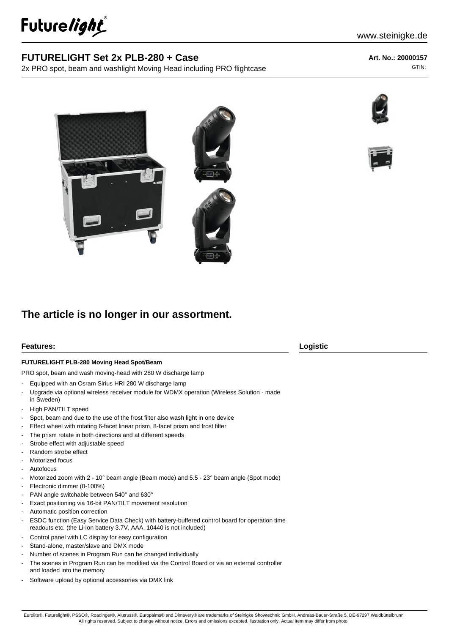

## **FUTURELIGHT Set 2x PLB-280 + Case**

2x PRO spot, beam and washlight Moving Head including PRO flightcase

**Art. No.: 20000157** GTIN:







# **The article is no longer in our assortment.**

### **Features: Logistic**

#### **FUTURELIGHT PLB-280 Moving Head Spot/Beam**

PRO spot, beam and wash moving-head with 280 W discharge lamp

- Equipped with an Osram Sirius HRI 280 W discharge lamp
- Upgrade via optional wireless receiver module for WDMX operation (Wireless Solution made
- in Sweden)
- High PAN/TILT speed
- Spot, beam and due to the use of the frost filter also wash light in one device
- Effect wheel with rotating 6-facet linear prism, 8-facet prism and frost filter
- The prism rotate in both directions and at different speeds
- Strobe effect with adjustable speed
- Random strobe effect
- Motorized focus
- **Autofocus**
- Motorized zoom with 2 10° beam angle (Beam mode) and 5.5 23° beam angle (Spot mode)
- Electronic dimmer (0-100%)
- PAN angle switchable between 540° and 630°
- Exact positioning via 16-bit PAN/TILT movement resolution
- Automatic position correction
- ESDC function (Easy Service Data Check) with battery-buffered control board for operation time readouts etc. (the Li-Ion battery 3.7V, AAA, 10440 is not included)
- Control panel with LC display for easy configuration
- Stand-alone, master/slave and DMX mode
- Number of scenes in Program Run can be changed individually
- The scenes in Program Run can be modified via the Control Board or via an external controller and loaded into the memory
- Software upload by optional accessories via DMX link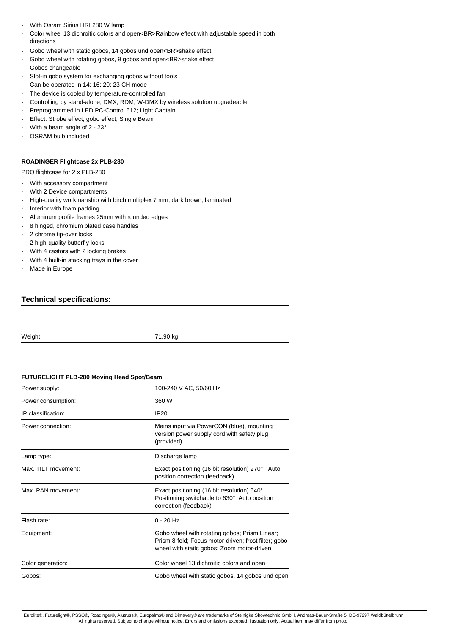- With Osram Sirius HRI 280 W lamp
- Color wheel 13 dichroitic colors and open<BR>Rainbow effect with adjustable speed in both directions
- Gobo wheel with static gobos, 14 gobos und open<BR>shake effect
- Gobo wheel with rotating gobos, 9 gobos and open<BR>shake effect
- Gobos changeable
- Slot-in gobo system for exchanging gobos without tools
- Can be operated in 14; 16; 20; 23 CH mode
- The device is cooled by temperature-controlled fan
- Controlling by stand-alone; DMX; RDM; W-DMX by wireless solution upgradeable
- Preprogrammed in LED PC-Control 512; Light Captain
- Effect: Strobe effect; gobo effect; Single Beam
- With a beam angle of 2 23°
- OSRAM bulb included

#### **ROADINGER Flightcase 2x PLB-280**

PRO flightcase for 2 x PLB-280

- With accessory compartment
- With 2 Device compartments
- High-quality workmanship with birch multiplex 7 mm, dark brown, laminated
- Interior with foam padding
- Aluminum profile frames 25mm with rounded edges
- 8 hinged, chromium plated case handles
- 2 chrome tip-over locks
- 2 high-quality butterfly locks
- With 4 castors with 2 locking brakes
- With 4 built-in stacking trays in the cover
- Made in Europe

#### **Technical specifications:**

Weight: 71,90 kg

### **FUTURELIGHT PLB-280 Moving Head Spot/Beam**

| Power supply:       | 100-240 V AC, 50/60 Hz                                                                                                                              |
|---------------------|-----------------------------------------------------------------------------------------------------------------------------------------------------|
| Power consumption:  | 360 W                                                                                                                                               |
| IP classification:  | <b>IP20</b>                                                                                                                                         |
| Power connection:   | Mains input via PowerCON (blue), mounting<br>version power supply cord with safety plug<br>(provided)                                               |
| Lamp type:          | Discharge lamp                                                                                                                                      |
| Max. TILT movement: | Exact positioning (16 bit resolution) 270° Auto<br>position correction (feedback)                                                                   |
| Max. PAN movement:  | Exact positioning (16 bit resolution) 540°<br>Positioning switchable to 630° Auto position<br>correction (feedback)                                 |
| Flash rate:         | $0 - 20$ Hz                                                                                                                                         |
| Equipment:          | Gobo wheel with rotating gobos; Prism Linear;<br>Prism 8-fold; Focus motor-driven; frost filter; gobo<br>wheel with static gobos; Zoom motor-driven |
| Color generation:   | Color wheel 13 dichroitic colors and open                                                                                                           |
| Gobos:              | Gobo wheel with static gobos, 14 gobos und open                                                                                                     |

Eurolite®, Futurelight®, PSSO®, Roadinger®, Alutruss®, Europalms® and Dimavery® are trademarks of Steinigke Showtechnic GmbH, Andreas-Bauer-Straße 5, DE-97297 Waldbüttelbrunn All rights reserved. Subject to change without notice. Errors and omissions excepted.Illustration only. Actual item may differ from photo.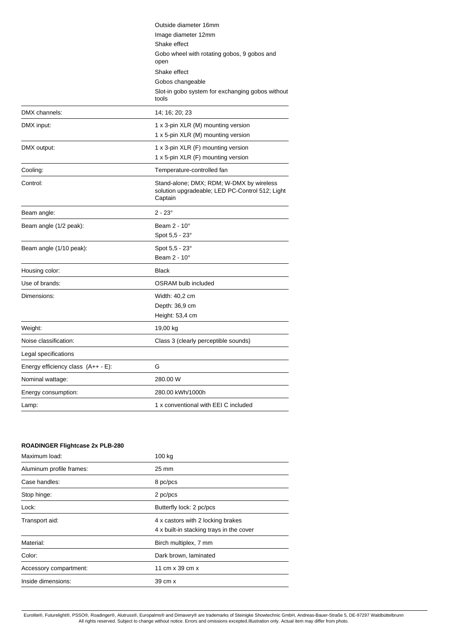| Outside diameter 16mm                                                                                  |
|--------------------------------------------------------------------------------------------------------|
| Image diameter 12mm                                                                                    |
| Shake effect                                                                                           |
| Gobo wheel with rotating gobos, 9 gobos and<br>open                                                    |
| Shake effect                                                                                           |
| Gobos changeable                                                                                       |
| Slot-in gobo system for exchanging gobos without<br>tools                                              |
| 14; 16; 20; 23                                                                                         |
| 1 x 3-pin XLR (M) mounting version                                                                     |
| 1 x 5-pin XLR (M) mounting version                                                                     |
| 1 x 3-pin XLR (F) mounting version                                                                     |
| 1 x 5-pin XLR (F) mounting version                                                                     |
| Temperature-controlled fan                                                                             |
| Stand-alone; DMX; RDM; W-DMX by wireless<br>solution upgradeable; LED PC-Control 512; Light<br>Captain |
| $2 - 23^{\circ}$                                                                                       |
| Beam 2 - 10°                                                                                           |
| Spot 5,5 - 23°                                                                                         |
| Spot 5,5 - 23°                                                                                         |
| Beam 2 - 10°                                                                                           |
| <b>Black</b>                                                                                           |
| <b>OSRAM</b> bulb included                                                                             |
| Width: 40,2 cm                                                                                         |
| Depth: 36,9 cm                                                                                         |
| Height: 53,4 cm                                                                                        |
| 19,00 kg                                                                                               |
| Class 3 (clearly perceptible sounds)                                                                   |
|                                                                                                        |
| G                                                                                                      |
| 280.00 W                                                                                               |
| 280.00 kWh/1000h                                                                                       |
| 1 x conventional with EEI C included                                                                   |
|                                                                                                        |

# **ROADINGER Flightcase 2x PLB-280** Maximum load: 100 kg Aluminum profile frames: 25 mm Case handles: 8 pc/pcs Stop hinge: 2 pc/pcs Lock: Lock: 2 pc/pcs Transport aid: 4 x castors with 2 locking brakes 4 x built-in stacking trays in the cover Material: Material: Birch multiplex, 7 mm Color: Dark brown, laminated Accessory compartment: 11 cm x 39 cm x Inside dimensions: 39 cm x

Eurolite®, Futurelight®, PSSO®, Roadinger®, Alutruss®, Europalms® and Dimavery® are trademarks of Steinigke Showtechnic GmbH, Andreas-Bauer-Straße 5, DE-97297 Waldbüttelbrunn All rights reserved. Subject to change without notice. Errors and omissions excepted.Illustration only. Actual item may differ from photo.